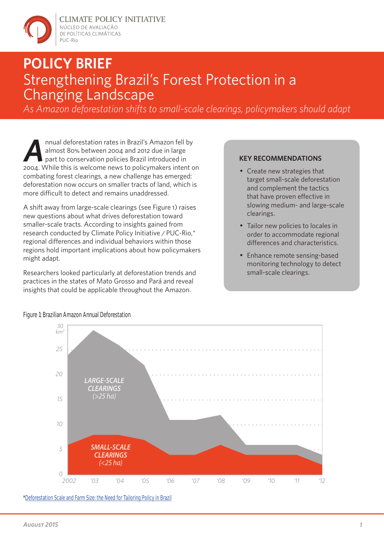

**CLIMATE POLICY INITIATIVE** NÚCLEO DE AVALIACÃO DE POLÍTICAS CLIMÁTICAS PUC-Rio

# **POLICY BRIEF** Strengthening Brazil's Forest Protection in a Changing Landscape

*As Amazon deforestation shifts to small-scale clearings, policymakers should adapt*

Annual deforestation rates in Brazil's Amazon fell by<br>almost 80% between 2004 and 2012 due in large<br>part to conservation policies Brazil introduced in<br>2004. While this is welcome news to policymakers intent of almost 80% between 2004 and 2012 due in large part to conservation policies Brazil introduced in 2004. While this is welcome news to policymakers intent on combating forest clearings, a new challenge has emerged: deforestation now occurs on smaller tracts of land, which is more difficult to detect and remains unaddressed

A shift away from large-scale clearings (see Figure 1) raises new questions about what drives deforestation toward smaller-scale tracts. According to insights gained from research conducted by Climate Policy Initiative / PUC-Rio,\* regional differences and individual behaviors within those regions hold important implications about how policymakers might adapt.

Researchers looked particularly at deforestation trends and practices in the states of Mato Grosso and Pará and reveal insights that could be applicable throughout the Amazon.

### **KEY RECOMMENDATIONS**

- Create new strategies that target small-scale deforestation and complement the tactics that have proven effective in slowing medium- and large-scale clearings.
- Tailor new policies to locales in order to accommodate regional differences and characteristics.
- Enhance remote sensing-based monitoring technology to detect small-scale clearings.



Figure 1: Brazilian Amazon Annual Deforestation

\*Deforestation Scale and Farm Size: the Need for Tailoring Policy in Brazil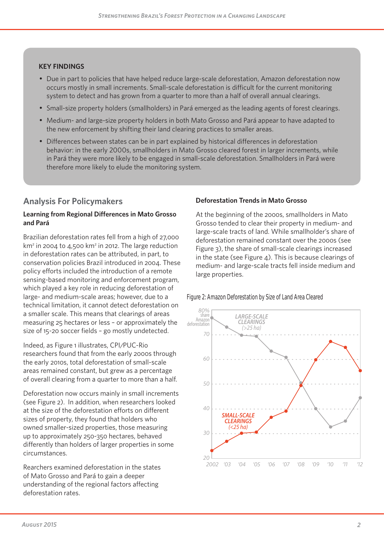#### **KEY FINDINGS**

- Due in part to policies that have helped reduce large-scale deforestation, Amazon deforestation now occurs mostly in small increments. Small-scale deforestation is difficult for the current monitoring system to detect and has grown from a quarter to more than a half of overall annual clearings.
- Small-size property holders (smallholders) in Pará emerged as the leading agents of forest clearings.
- Medium- and large-size property holders in both Mato Grosso and Pará appear to have adapted to the new enforcement by shifting their land clearing practices to smaller areas.
- Differences between states can be in part explained by historical differences in deforestation behavior: in the early 2000s, smallholders in Mato Grosso cleared forest in larger increments, while in Pará they were more likely to be engaged in small-scale deforestation. Smallholders in Pará were therefore more likely to elude the monitoring system.

## **Analysis For Policymakers**

#### **Learning from Regional Differences in Mato Grosso and Pará**

Brazilian deforestation rates fell from a high of 27,000  $km<sup>2</sup>$  in 2004 to 4,500 km<sup>2</sup> in 2012. The large reduction in deforestation rates can be attributed, in part, to conservation policies Brazil introduced in 2004. These policy efforts included the introduction of a remote sensing-based monitoring and enforcement program, which played a key role in reducing deforestation of large- and medium-scale areas; however, due to a technical limitation, it cannot detect deforestation on a smaller scale. This means that clearings of areas measuring 25 hectares or less – or approximately the size of 15-20 soccer fields – go mostly undetected.

Indeed, as Figure 1 illustrates, CPI/PUC-Rio researchers found that from the early 2000s through the early 2010s, total deforestation of small-scale areas remained constant, but grew as a percentage of overall clearing from a quarter to more than a half.

Deforestation now occurs mainly in small increments (see Figure 2). In addition, when researchers looked at the size of the deforestation efforts on different sizes of property, they found that holders who owned smaller-sized properties, those measuring up to approximately 250-350 hectares, behaved differently than holders of larger properties in some circumstances.

Rearchers examined deforestation in the states of Mato Grosso and Pará to gain a deeper understanding of the regional factors affecting deforestation rates.

#### **Deforestation Trends in Mato Grosso**

At the beginning of the 2000s, smallholders in Mato Grosso tended to clear their property in medium- and large-scale tracts of land. While smallholder's share of deforestation remained constant over the 2000s (see Figure 3), the share of small-scale clearings increased in the state (see Figure 4). This is because clearings of medium- and large-scale tracts fell inside medium and large properties.

Figure 2: Amazon Deforestation by Size of Land Area Cleared

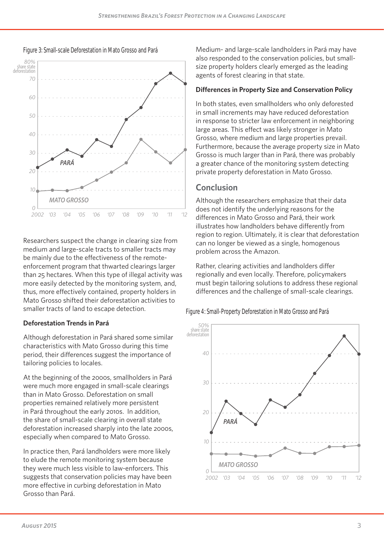



Researchers suspect the change in clearing size from medium and large-scale tracts to smaller tracts may be mainly due to the effectiveness of the remoteenforcement program that thwarted clearings larger than 25 hectares. When this type of illegal activity was more easily detected by the monitoring system, and, thus, more effectively contained, property holders in Mato Grosso shifted their deforestation activities to smaller tracts of land to escape detection.

#### **Deforestation Trends in Pará**

Although deforestation in Pará shared some similar characteristics with Mato Grosso during this time period, their differences suggest the importance of tailoring policies to locales.

At the beginning of the 2000s, smallholders in Pará were much more engaged in small-scale clearings than in Mato Grosso. Deforestation on small properties remained relatively more persistent in Pará throughout the early 2010s. In addition, the share of small-scale clearing in overall state deforestation increased sharply into the late 2000s, especially when compared to Mato Grosso.

In practice then, Pará landholders were more likely to elude the remote monitoring system because they were much less visible to law-enforcers. This suggests that conservation policies may have been more effective in curbing deforestation in Mato Grosso than Pará.

Medium- and large-scale landholders in Pará may have also responded to the conservation policies, but smallsize property holders clearly emerged as the leading agents of forest clearing in that state.

#### **Differences in Property Size and Conservation Policy**

In both states, even smallholders who only deforested in small increments may have reduced deforestation in response to stricter law enforcement in neighboring large areas. This effect was likely stronger in Mato Grosso, where medium and large properties prevail. Furthermore, because the average property size in Mato Grosso is much larger than in Pará, there was probably a greater chance of the monitoring system detecting private property deforestation in Mato Grosso.

## **Conclusion**

Although the researchers emphasize that their data does not identify the underlying reasons for the differences in Mato Grosso and Pará, their work illustrates how landholders behave differently from region to region. Ultimately, it is clear that deforestation can no longer be viewed as a single, homogenous problem across the Amazon.

Rather, clearing activities and landholders differ regionally and even locally. Therefore, policymakers must begin tailoring solutions to address these regional differences and the challenge of small-scale clearings.

Figure 4: Small-Property Deforestation in Mato Grosso and Pará